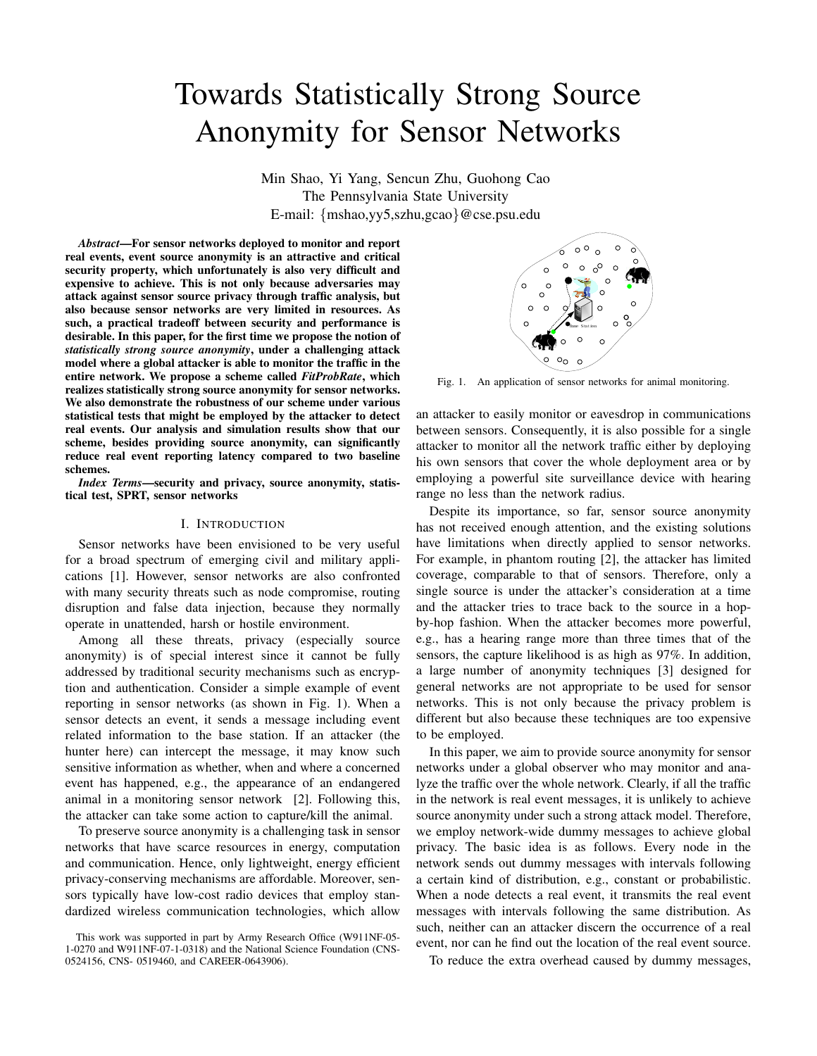# Towards Statistically Strong Source Anonymity for Sensor Networks

Min Shao, Yi Yang, Sencun Zhu, Guohong Cao The Pennsylvania State University E-mail: {mshao,yy5,szhu,gcao}@cse.psu.edu

*Abstract***—For sensor networks deployed to monitor and report real events, event source anonymity is an attractive and critical security property, which unfortunately is also very difficult and expensive to achieve. This is not only because adversaries may attack against sensor source privacy through traffic analysis, but also because sensor networks are very limited in resources. As such, a practical tradeoff between security and performance is desirable. In this paper, for the first time we propose the notion of** *statistically strong source anonymity***, under a challenging attack model where a global attacker is able to monitor the traffic in the entire network. We propose a scheme called** *FitProbRate***, which realizes statistically strong source anonymity for sensor networks. We also demonstrate the robustness of our scheme under various statistical tests that might be employed by the attacker to detect real events. Our analysis and simulation results show that our scheme, besides providing source anonymity, can significantly reduce real event reporting latency compared to two baseline schemes.**

*Index Terms***—security and privacy, source anonymity, statistical test, SPRT, sensor networks**

#### I. INTRODUCTION

Sensor networks have been envisioned to be very useful for a broad spectrum of emerging civil and military applications [1]. However, sensor networks are also confronted with many security threats such as node compromise, routing disruption and false data injection, because they normally operate in unattended, harsh or hostile environment.

Among all these threats, privacy (especially source anonymity) is of special interest since it cannot be fully addressed by traditional security mechanisms such as encryption and authentication. Consider a simple example of event reporting in sensor networks (as shown in Fig. 1). When a sensor detects an event, it sends a message including event related information to the base station. If an attacker (the hunter here) can intercept the message, it may know such sensitive information as whether, when and where a concerned event has happened, e.g., the appearance of an endangered animal in a monitoring sensor network [2]. Following this, the attacker can take some action to capture/kill the animal.

To preserve source anonymity is a challenging task in sensor networks that have scarce resources in energy, computation and communication. Hence, only lightweight, energy efficient privacy-conserving mechanisms are affordable. Moreover, sensors typically have low-cost radio devices that employ standardized wireless communication technologies, which allow



Fig. 1. An application of sensor networks for animal monitoring.

an attacker to easily monitor or eavesdrop in communications between sensors. Consequently, it is also possible for a single attacker to monitor all the network traffic either by deploying his own sensors that cover the whole deployment area or by employing a powerful site surveillance device with hearing range no less than the network radius.

Despite its importance, so far, sensor source anonymity has not received enough attention, and the existing solutions have limitations when directly applied to sensor networks. For example, in phantom routing [2], the attacker has limited coverage, comparable to that of sensors. Therefore, only a single source is under the attacker's consideration at a time and the attacker tries to trace back to the source in a hopby-hop fashion. When the attacker becomes more powerful, e.g., has a hearing range more than three times that of the sensors, the capture likelihood is as high as 97%. In addition, a large number of anonymity techniques [3] designed for general networks are not appropriate to be used for sensor networks. This is not only because the privacy problem is different but also because these techniques are too expensive to be employed.

In this paper, we aim to provide source anonymity for sensor networks under a global observer who may monitor and analyze the traffic over the whole network. Clearly, if all the traffic in the network is real event messages, it is unlikely to achieve source anonymity under such a strong attack model. Therefore, we employ network-wide dummy messages to achieve global privacy. The basic idea is as follows. Every node in the network sends out dummy messages with intervals following a certain kind of distribution, e.g., constant or probabilistic. When a node detects a real event, it transmits the real event messages with intervals following the same distribution. As such, neither can an attacker discern the occurrence of a real event, nor can he find out the location of the real event source.

To reduce the extra overhead caused by dummy messages,

This work was supported in part by Army Research Office (W911NF-05- 1-0270 and W911NF-07-1-0318) and the National Science Foundation (CNS-0524156, CNS- 0519460, and CAREER-0643906).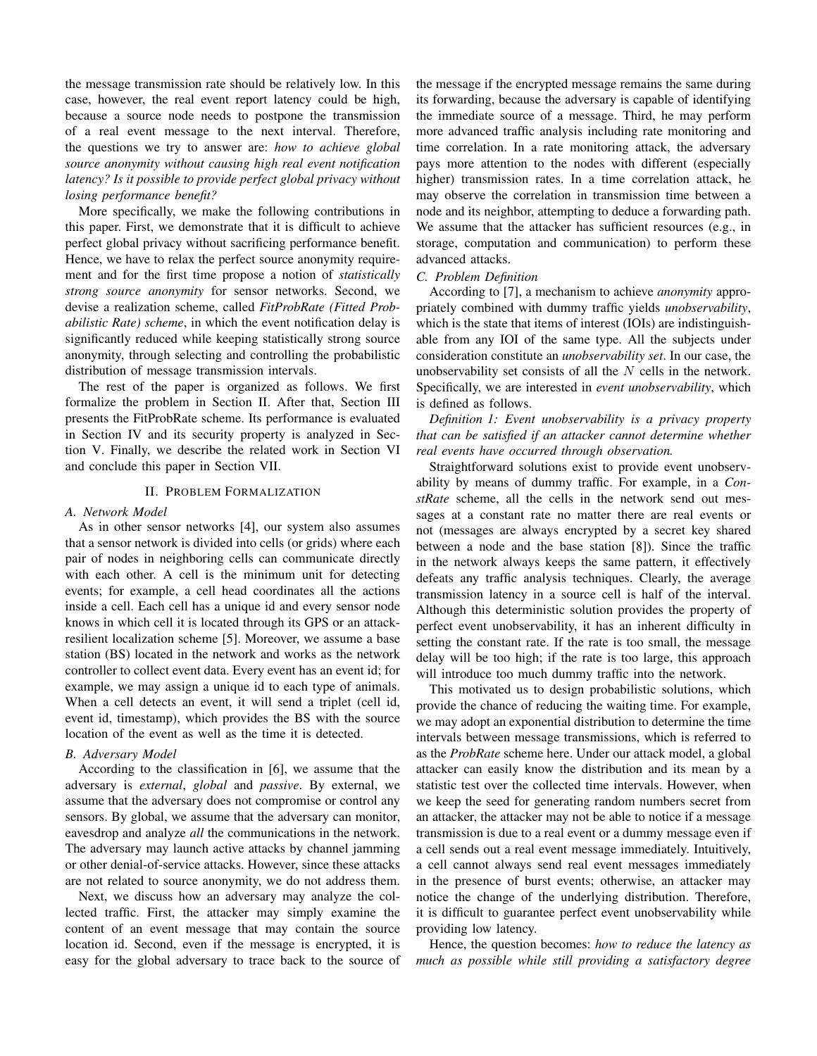the message transmission rate should be relatively low. In this case, however, the real event report latency could be high, because a source node needs to postpone the transmission of a real event message to the next interval. Therefore, the questions we try to answer are: *how to achieve global source anonymity without causing high real event notification latency? Is it possible to provide perfect global privacy without losing performance benefit?*

More specifically, we make the following contributions in this paper. First, we demonstrate that it is difficult to achieve perfect global privacy without sacrificing performance benefit. Hence, we have to relax the perfect source anonymity requirement and for the first time propose a notion of *statistically strong source anonymity* for sensor networks. Second, we devise a realization scheme, called *FitProbRate (Fitted Probabilistic Rate) scheme*, in which the event notification delay is significantly reduced while keeping statistically strong source anonymity, through selecting and controlling the probabilistic distribution of message transmission intervals.

The rest of the paper is organized as follows. We first formalize the problem in Section II. After that, Section III presents the FitProbRate scheme. Its performance is evaluated in Section IV and its security property is analyzed in Section V. Finally, we describe the related work in Section VI and conclude this paper in Section VII.

# II. PROBLEM FORMALIZATION

#### *A. Network Model*

As in other sensor networks [4], our system also assumes that a sensor network is divided into cells (or grids) where each pair of nodes in neighboring cells can communicate directly with each other. A cell is the minimum unit for detecting events; for example, a cell head coordinates all the actions inside a cell. Each cell has a unique id and every sensor node knows in which cell it is located through its GPS or an attackresilient localization scheme [5]. Moreover, we assume a base station (BS) located in the network and works as the network controller to collect event data. Every event has an event id; for example, we may assign a unique id to each type of animals. When a cell detects an event, it will send a triplet (cell id, event id, timestamp), which provides the BS with the source location of the event as well as the time it is detected.

# *B. Adversary Model*

According to the classification in [6], we assume that the adversary is *external*, *global* and *passive*. By external, we assume that the adversary does not compromise or control any sensors. By global, we assume that the adversary can monitor, eavesdrop and analyze *all* the communications in the network. The adversary may launch active attacks by channel jamming or other denial-of-service attacks. However, since these attacks are not related to source anonymity, we do not address them.

Next, we discuss how an adversary may analyze the collected traffic. First, the attacker may simply examine the content of an event message that may contain the source location id. Second, even if the message is encrypted, it is easy for the global adversary to trace back to the source of the message if the encrypted message remains the same during its forwarding, because the adversary is capable of identifying the immediate source of a message. Third, he may perform more advanced traffic analysis including rate monitoring and time correlation. In a rate monitoring attack, the adversary pays more attention to the nodes with different (especially higher) transmission rates. In a time correlation attack, he may observe the correlation in transmission time between a node and its neighbor, attempting to deduce a forwarding path. We assume that the attacker has sufficient resources (e.g., in storage, computation and communication) to perform these advanced attacks.

#### *C. Problem Definition*

According to [7], a mechanism to achieve *anonymity* appropriately combined with dummy traffic yields *unobservability*, which is the state that items of interest (IOIs) are indistinguishable from any IOI of the same type. All the subjects under consideration constitute an *unobservability set*. In our case, the unobservability set consists of all the  $N$  cells in the network. Specifically, we are interested in *event unobservability*, which is defined as follows.

*Definition 1: Event unobservability is a privacy property that can be satisfied if an attacker cannot determine whether real events have occurred through observation.*

Straightforward solutions exist to provide event unobservability by means of dummy traffic. For example, in a *ConstRate* scheme, all the cells in the network send out messages at a constant rate no matter there are real events or not (messages are always encrypted by a secret key shared between a node and the base station [8]). Since the traffic in the network always keeps the same pattern, it effectively defeats any traffic analysis techniques. Clearly, the average transmission latency in a source cell is half of the interval. Although this deterministic solution provides the property of perfect event unobservability, it has an inherent difficulty in setting the constant rate. If the rate is too small, the message delay will be too high; if the rate is too large, this approach will introduce too much dummy traffic into the network.

This motivated us to design probabilistic solutions, which provide the chance of reducing the waiting time. For example, we may adopt an exponential distribution to determine the time intervals between message transmissions, which is referred to as the *ProbRate* scheme here. Under our attack model, a global attacker can easily know the distribution and its mean by a statistic test over the collected time intervals. However, when we keep the seed for generating random numbers secret from an attacker, the attacker may not be able to notice if a message transmission is due to a real event or a dummy message even if a cell sends out a real event message immediately. Intuitively, a cell cannot always send real event messages immediately in the presence of burst events; otherwise, an attacker may notice the change of the underlying distribution. Therefore, it is difficult to guarantee perfect event unobservability while providing low latency.

Hence, the question becomes: *how to reduce the latency as much as possible while still providing a satisfactory degree*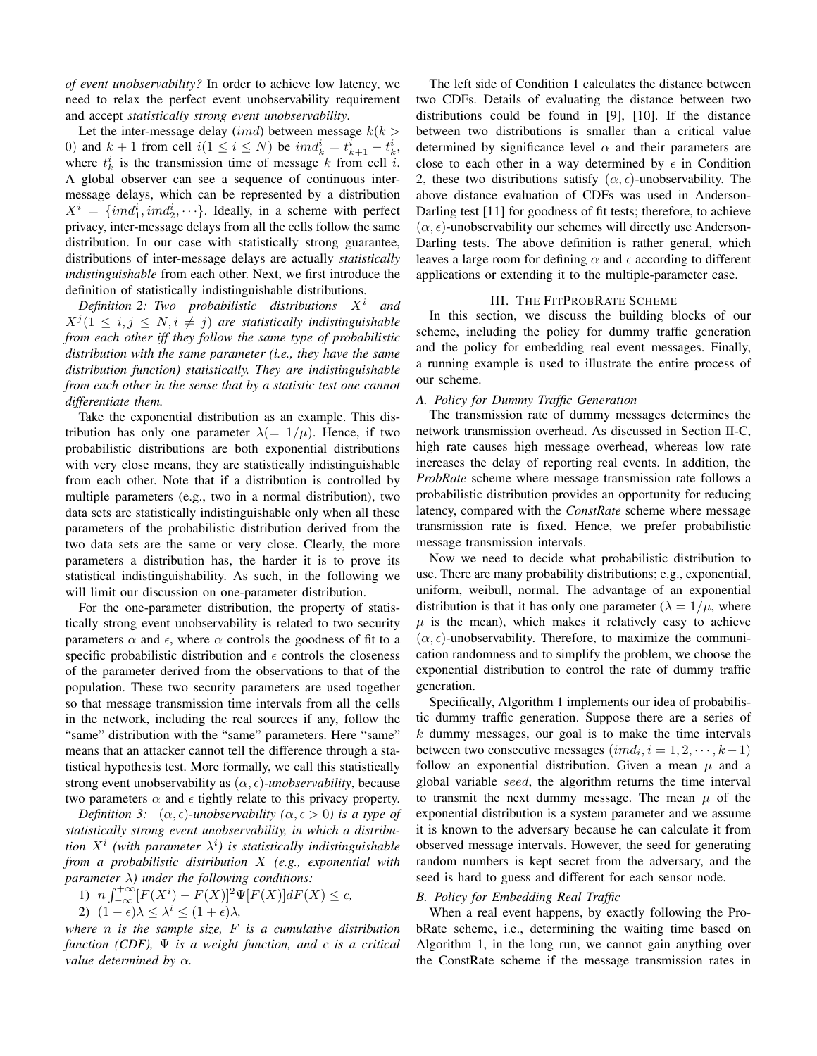*of event unobservability?* In order to achieve low latency, we need to relax the perfect event unobservability requirement and accept *statistically strong event unobservability*.

Let the inter-message delay  $(imd)$  between message  $k(k)$ 0) and  $k + 1$  from cell  $i(1 \le i \le N)$  be  $im d_k^i = t_{k+1}^i - t_k^i$ ,<br>where  $t^i$  is the transmission time of message k from cell i where  $t_k^i$  is the transmission time of message k from cell i. A global observer can see a sequence of continuous intermessage delays, which can be represented by a distribution  $X^i = \{imd_1^i, imd_2^i, \cdots\}$ . Ideally, in a scheme with perfect privacy inter-message delays from all the cells follow the same privacy, inter-message delays from all the cells follow the same distribution. In our case with statistically strong guarantee, distributions of inter-message delays are actually *statistically indistinguishable* from each other. Next, we first introduce the definition of statistically indistinguishable distributions.

*Definition 2: Two probabilistic distributions* X<sup>i</sup> *and*  $X^{j}$  $(1 \leq i, j \leq N, i \neq j)$  are statistically indistinguishable<br>from each other iff they follow the same type of probabilistic *from each other iff they follow the same type of probabilistic distribution with the same parameter (i.e., they have the same distribution function) statistically. They are indistinguishable from each other in the sense that by a statistic test one cannot differentiate them.*

Take the exponential distribution as an example. This distribution has only one parameter  $\lambda (= 1/\mu)$ . Hence, if two probabilistic distributions are both exponential distributions with very close means, they are statistically indistinguishable from each other. Note that if a distribution is controlled by multiple parameters (e.g., two in a normal distribution), two data sets are statistically indistinguishable only when all these parameters of the probabilistic distribution derived from the two data sets are the same or very close. Clearly, the more parameters a distribution has, the harder it is to prove its statistical indistinguishability. As such, in the following we will limit our discussion on one-parameter distribution.

For the one-parameter distribution, the property of statistically strong event unobservability is related to two security parameters  $\alpha$  and  $\epsilon$ , where  $\alpha$  controls the goodness of fit to a specific probabilistic distribution and  $\epsilon$  controls the closeness of the parameter derived from the observations to that of the population. These two security parameters are used together so that message transmission time intervals from all the cells in the network, including the real sources if any, follow the "same" distribution with the "same" parameters. Here "same" means that an attacker cannot tell the difference through a statistical hypothesis test. More formally, we call this statistically strong event unobservability as  $(\alpha, \epsilon)$ -unobservability, because two parameters  $\alpha$  and  $\epsilon$  tightly relate to this privacy property.

*Definition 3:*  $(\alpha, \epsilon)$ -unobservability  $(\alpha, \epsilon > 0)$  is a type of *statistically strong event unobservability, in which a distribution*  $X^i$  (with parameter  $\lambda^i$ ) is statistically indistinguishable *from a probabilistic distribution* X *(e.g., exponential with parameter* λ*) under the following conditions:*

1) 
$$
n \int_{-\infty}^{+\infty} [F(X^{i}) - F(X)]^{2} \Psi[F(X)] dF(X) \leq c,
$$
  
2)  $(1 - c) \leq k \leq (1 + c)$ 

2) 
$$
(1 - \epsilon)\lambda \leq \lambda^i \leq (1 + \epsilon)\lambda
$$
,

2)  $(1 - \epsilon)\lambda \leq \lambda^i \leq (1 + \epsilon)\lambda$ ,<br>where *n* is the sample size, *F* is a cumulative distribution *function (CDF),* Ψ *is a weight function, and* <sup>c</sup> *is a critical value determined by* α*.*

The left side of Condition 1 calculates the distance between two CDFs. Details of evaluating the distance between two distributions could be found in [9], [10]. If the distance between two distributions is smaller than a critical value determined by significance level  $\alpha$  and their parameters are close to each other in a way determined by  $\epsilon$  in Condition 2, these two distributions satisfy  $(\alpha, \epsilon)$ -unobservability. The above distance evaluation of CDFs was used in Anderson-Darling test [11] for goodness of fit tests; therefore, to achieve  $(\alpha, \epsilon)$ -unobservability our schemes will directly use Anderson-Darling tests. The above definition is rather general, which leaves a large room for defining  $\alpha$  and  $\epsilon$  according to different applications or extending it to the multiple-parameter case.

# III. THE FITPROBRATE SCHEME

In this section, we discuss the building blocks of our scheme, including the policy for dummy traffic generation and the policy for embedding real event messages. Finally, a running example is used to illustrate the entire process of our scheme.

# *A. Policy for Dummy Traffic Generation*

The transmission rate of dummy messages determines the network transmission overhead. As discussed in Section II-C, high rate causes high message overhead, whereas low rate increases the delay of reporting real events. In addition, the *ProbRate* scheme where message transmission rate follows a probabilistic distribution provides an opportunity for reducing latency, compared with the *ConstRate* scheme where message transmission rate is fixed. Hence, we prefer probabilistic message transmission intervals.

Now we need to decide what probabilistic distribution to use. There are many probability distributions; e.g., exponential, uniform, weibull, normal. The advantage of an exponential distribution is that it has only one parameter ( $\lambda = 1/\mu$ , where  $\mu$  is the mean), which makes it relatively easy to achieve  $(\alpha, \epsilon)$ -unobservability. Therefore, to maximize the communication randomness and to simplify the problem, we choose the exponential distribution to control the rate of dummy traffic generation.

Specifically, Algorithm 1 implements our idea of probabilistic dummy traffic generation. Suppose there are a series of  $k$  dummy messages, our goal is to make the time intervals between two consecutive messages  $(imd_i, i = 1, 2, \dots, k-1)$ follow an exponential distribution. Given a mean  $\mu$  and a global variable seed, the algorithm returns the time interval to transmit the next dummy message. The mean  $\mu$  of the exponential distribution is a system parameter and we assume it is known to the adversary because he can calculate it from observed message intervals. However, the seed for generating random numbers is kept secret from the adversary, and the seed is hard to guess and different for each sensor node.

# *B. Policy for Embedding Real Traffic*

When a real event happens, by exactly following the ProbRate scheme, i.e., determining the waiting time based on Algorithm 1, in the long run, we cannot gain anything over the ConstRate scheme if the message transmission rates in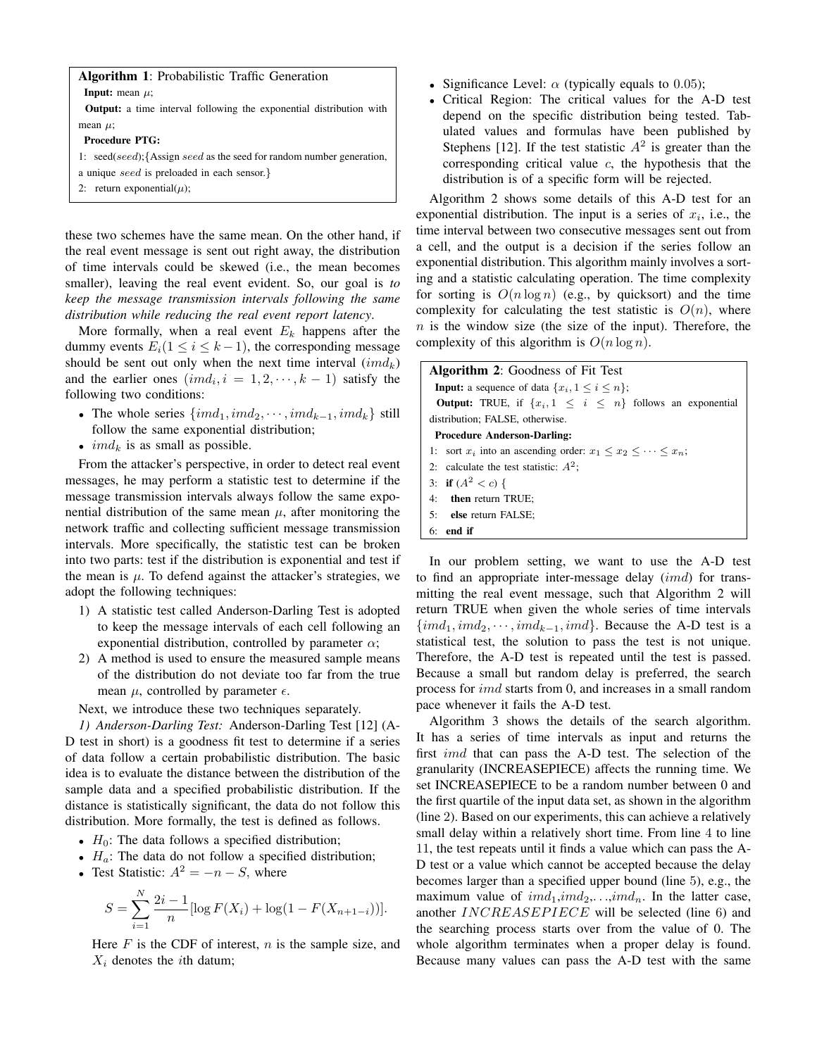# **Algorithm 1**: Probabilistic Traffic Generation

**Input:** mean  $\mu$ ;

**Output:** a time interval following the exponential distribution with mean  $\mu$ ;

# **Procedure PTG:**

- 1: seed(seed); {Assign seed as the seed for random number generation,
- a unique seed is preloaded in each sensor.}
- 2: return exponential $(\mu)$ ;

these two schemes have the same mean. On the other hand, if the real event message is sent out right away, the distribution of time intervals could be skewed (i.e., the mean becomes smaller), leaving the real event evident. So, our goal is *to keep the message transmission intervals following the same distribution while reducing the real event report latency*.

More formally, when a real event  $E_k$  happens after the dummy events  $E_i(1 \leq i \leq k-1)$ , the corresponding message should be sent out only when the next time interval  $(imd<sub>k</sub>$ ) and the earlier ones  $(imd_i, i = 1, 2, \dots, k - 1)$  satisfy the following two conditions:

- The whole series  $\{imd_1, imd_2, \cdots, imd_{k-1}, imd_k\}$  still follow the same exponential distribution;
- $imd_k$  is as small as possible.

From the attacker's perspective, in order to detect real event messages, he may perform a statistic test to determine if the message transmission intervals always follow the same exponential distribution of the same mean  $\mu$ , after monitoring the network traffic and collecting sufficient message transmission intervals. More specifically, the statistic test can be broken into two parts: test if the distribution is exponential and test if the mean is  $\mu$ . To defend against the attacker's strategies, we adopt the following techniques:

- 1) A statistic test called Anderson-Darling Test is adopted to keep the message intervals of each cell following an exponential distribution, controlled by parameter  $\alpha$ ;
- 2) A method is used to ensure the measured sample means of the distribution do not deviate too far from the true mean  $\mu$ , controlled by parameter  $\epsilon$ .

Next, we introduce these two techniques separately.

*1) Anderson-Darling Test:* Anderson-Darling Test [12] (A-D test in short) is a goodness fit test to determine if a series of data follow a certain probabilistic distribution. The basic idea is to evaluate the distance between the distribution of the sample data and a specified probabilistic distribution. If the distance is statistically significant, the data do not follow this distribution. More formally, the test is defined as follows.

- $H_0$ : The data follows a specified distribution;
- $H_a$ : The data do not follow a specified distribution;
- Test Statistic:  $A^2 = -n S$ , where

$$
S = \sum_{i=1}^{N} \frac{2i-1}{n} [\log F(X_i) + \log(1 - F(X_{n+1-i}))].
$$

```
Here F is the CDF of interest, n is the sample size, and
X_i denotes the ith datum;
```
- Significance Level:  $\alpha$  (typically equals to 0.05);
- Critical Region: The critical values for the A-D test depend on the specific distribution being tested. Tabulated values and formulas have been published by Stephens [12]. If the test statistic  $A^2$  is greater than the corresponding critical value  $c$ , the hypothesis that the distribution is of a specific form will be rejected.

Algorithm 2 shows some details of this A-D test for an exponential distribution. The input is a series of  $x_i$ , i.e., the time interval between two consecutive messages sent out from a cell, and the output is a decision if the series follow an exponential distribution. This algorithm mainly involves a sorting and a statistic calculating operation. The time complexity for sorting is  $O(n \log n)$  (e.g., by quicksort) and the time complexity for calculating the test statistic is  $O(n)$ , where  $n$  is the window size (the size of the input). Therefore, the complexity of this algorithm is  $O(n \log n)$ .

| <b>Algorithm 2:</b> Goodness of Fit Test                                  |  |  |  |  |  |  |  |  |
|---------------------------------------------------------------------------|--|--|--|--|--|--|--|--|
| <b>Input:</b> a sequence of data $\{x_i, 1 \leq i \leq n\}$ ;             |  |  |  |  |  |  |  |  |
| <b>Output:</b> TRUE, if $\{x_i, 1 \leq i \leq n\}$ follows an exponential |  |  |  |  |  |  |  |  |
| distribution; FALSE, otherwise.                                           |  |  |  |  |  |  |  |  |
| <b>Procedure Anderson-Darling:</b>                                        |  |  |  |  |  |  |  |  |
| 1: sort $x_i$ into an ascending order: $x_1 \le x_2 \le \cdots \le x_n$ ; |  |  |  |  |  |  |  |  |
| 2: calculate the test statistic: $A^2$ ;                                  |  |  |  |  |  |  |  |  |
| 3: if $(A^2 < c)$ {                                                       |  |  |  |  |  |  |  |  |
| 4: then return TRUE;                                                      |  |  |  |  |  |  |  |  |
| 5: else return FALSE;                                                     |  |  |  |  |  |  |  |  |
|                                                                           |  |  |  |  |  |  |  |  |

6: **end if** In our problem setting, we want to use the A-D test to find an appropriate inter-message delay (imd) for transmitting the real event message, such that Algorithm 2 will return TRUE when given the whole series of time intervals  ${imd_1, imd_2, \cdots, imd_{k-1}, imd}.$  Because the A-D test is a

statistical test, the solution to pass the test is not unique. Therefore, the A-D test is repeated until the test is passed. Because a small but random delay is preferred, the search process for imd starts from 0, and increases in a small random pace whenever it fails the A-D test. Algorithm 3 shows the details of the search algorithm.

It has a series of time intervals as input and returns the first imd that can pass the A-D test. The selection of the granularity (INCREASEPIECE) affects the running time. We set INCREASEPIECE to be a random number between 0 and the first quartile of the input data set, as shown in the algorithm (line 2). Based on our experiments, this can achieve a relatively small delay within a relatively short time. From line 4 to line 11, the test repeats until it finds a value which can pass the A-D test or a value which cannot be accepted because the delay becomes larger than a specified upper bound (line 5), e.g., the maximum value of  $imd_1, imd_2, \ldots, imd_n$ . In the latter case, another  $INCREASEPIECE$  will be selected (line 6) and the searching process starts over from the value of 0. The whole algorithm terminates when a proper delay is found. Because many values can pass the A-D test with the same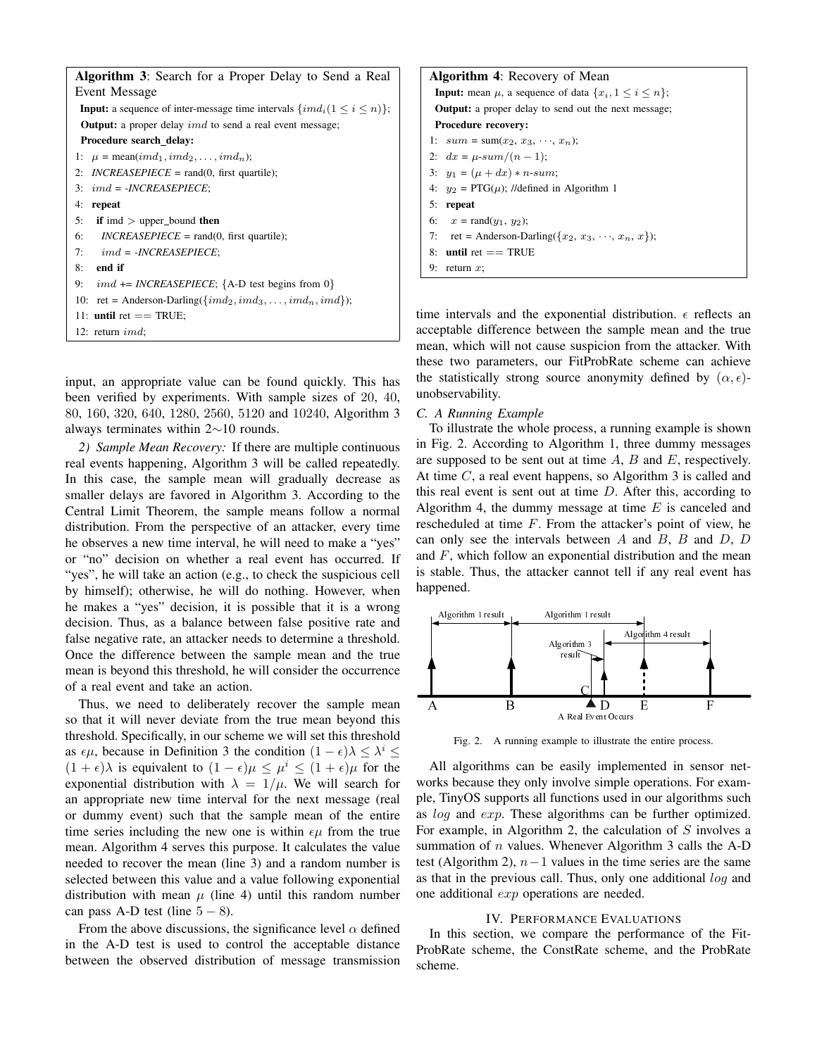| <b>Algorithm 3:</b> Search for a Proper Delay to Send a Real                           |  |  |  |  |  |  |
|----------------------------------------------------------------------------------------|--|--|--|--|--|--|
| Event Message                                                                          |  |  |  |  |  |  |
| <b>Input:</b> a sequence of inter-message time intervals $\{imd_i(1 \leq i \leq n)\};$ |  |  |  |  |  |  |
| <b>Output:</b> a proper delay <i>imd</i> to send a real event message;                 |  |  |  |  |  |  |
| Procedure search delay:                                                                |  |  |  |  |  |  |
| 1: $\mu = \text{mean}(imd_1, imd_2, \ldots, imd_n);$                                   |  |  |  |  |  |  |
| $INCREASEPIECE = \text{rand}(0, \text{first quartile})$ ;<br>2:                        |  |  |  |  |  |  |
| $imd = -INCREASEPIECE;$<br>3:                                                          |  |  |  |  |  |  |
| 4:<br>repeat                                                                           |  |  |  |  |  |  |
| <b>if</b> imd $>$ upper_bound <b>then</b><br>5:                                        |  |  |  |  |  |  |
| $INCREASEPIECE = \text{rand}(0, \text{ first quartile})$ ;<br>6:                       |  |  |  |  |  |  |
| 7:<br>$imd =$ -INCREASEPIECE;                                                          |  |  |  |  |  |  |
| end if<br>8:                                                                           |  |  |  |  |  |  |
| $imd = INCREASEPIECE$ ; {A-D test begins from 0}<br>9:                                 |  |  |  |  |  |  |
| 10: ret = Anderson-Darling( $\{imd_2, imd_3, \ldots, imd_n, imd\}$ );                  |  |  |  |  |  |  |
| 11: <b>until</b> ret $==$ TRUE;                                                        |  |  |  |  |  |  |
| 12: return $imd$ ;                                                                     |  |  |  |  |  |  |

input, an appropriate value can be found quickly. This has been verified by experiments. With sample sizes of 20, 40, 80, 160, 320, 640, 1280, 2560, 5120 and 10240, Algorithm 3 always terminates within 2∼10 rounds.

*2) Sample Mean Recovery:* If there are multiple continuous real events happening, Algorithm 3 will be called repeatedly. In this case, the sample mean will gradually decrease as smaller delays are favored in Algorithm 3. According to the Central Limit Theorem, the sample means follow a normal distribution. From the perspective of an attacker, every time he observes a new time interval, he will need to make a "yes" or "no" decision on whether a real event has occurred. If "yes", he will take an action (e.g., to check the suspicious cell by himself); otherwise, he will do nothing. However, when he makes a "yes" decision, it is possible that it is a wrong decision. Thus, as a balance between false positive rate and false negative rate, an attacker needs to determine a threshold. Once the difference between the sample mean and the true mean is beyond this threshold, he will consider the occurrence of a real event and take an action.

Thus, we need to deliberately recover the sample mean so that it will never deviate from the true mean beyond this threshold. Specifically, in our scheme we will set this threshold as  $\epsilon \mu$ , because in Definition 3 the condition  $(1 - \epsilon)\lambda \leq \lambda^i \leq$  $(1 + \epsilon)\lambda$  is equivalent to  $(1 - \epsilon)\mu \leq \mu^i \leq (1 + \epsilon)\mu$  for the exponential distribution with  $\lambda = 1/\mu$ . We will search for an appropriate new time interval for the next message (real or dummy event) such that the sample mean of the entire time series including the new one is within  $\epsilon \mu$  from the true mean. Algorithm 4 serves this purpose. It calculates the value needed to recover the mean (line 3) and a random number is selected between this value and a value following exponential distribution with mean  $\mu$  (line 4) until this random number can pass A-D test (line  $5 - 8$ ).

From the above discussions, the significance level  $\alpha$  defined in the A-D test is used to control the acceptable distance between the observed distribution of message transmission

| <b>Algorithm 4:</b> Recovery of Mean                                       |  |  |  |  |  |  |  |  |
|----------------------------------------------------------------------------|--|--|--|--|--|--|--|--|
| <b>Input:</b> mean $\mu$ , a sequence of data $\{x_i, 1 \leq i \leq n\}$ ; |  |  |  |  |  |  |  |  |
| <b>Output:</b> a proper delay to send out the next message;                |  |  |  |  |  |  |  |  |
| Procedure recovery:                                                        |  |  |  |  |  |  |  |  |
| 1: $sum = sum(x_2, x_3, \dots, x_n);$                                      |  |  |  |  |  |  |  |  |
| 2: $dx = \mu \cdot \frac{sum}{n-1}$ ;                                      |  |  |  |  |  |  |  |  |
| 3: $y_1 = (\mu + dx) * n-sum;$                                             |  |  |  |  |  |  |  |  |
| 4: $y_2 = PTG(\mu)$ ; //defined in Algorithm 1                             |  |  |  |  |  |  |  |  |
| 5: repeat                                                                  |  |  |  |  |  |  |  |  |
| 6: $x = \text{rand}(y_1, y_2);$                                            |  |  |  |  |  |  |  |  |
| 7: ret = Anderson-Darling( $\{x_2, x_3, \dots, x_n, x\}$ );                |  |  |  |  |  |  |  |  |
| until ret $==$ TRUE<br>8:                                                  |  |  |  |  |  |  |  |  |
| 9:<br>return $x$ ;                                                         |  |  |  |  |  |  |  |  |

time intervals and the exponential distribution.  $\epsilon$  reflects an acceptable difference between the sample mean and the true mean, which will not cause suspicion from the attacker. With these two parameters, our FitProbRate scheme can achieve the statistically strong source anonymity defined by  $(\alpha, \epsilon)$ unobservability.

#### *C. A Running Example*

To illustrate the whole process, a running example is shown in Fig. 2. According to Algorithm 1, three dummy messages are supposed to be sent out at time  $A$ ,  $B$  and  $E$ , respectively. At time  $C$ , a real event happens, so Algorithm 3 is called and this real event is sent out at time  $D$ . After this, according to Algorithm 4, the dummy message at time  $E$  is canceled and rescheduled at time F. From the attacker's point of view, he can only see the intervals between A and B, B and D, D and  $F$ , which follow an exponential distribution and the mean is stable. Thus, the attacker cannot tell if any real event has happened.



Fig. 2. A running example to illustrate the entire process.

All algorithms can be easily implemented in sensor networks because they only involve simple operations. For example, TinyOS supports all functions used in our algorithms such as log and exp. These algorithms can be further optimized. For example, in Algorithm 2, the calculation of  $S$  involves a summation of  $n$  values. Whenever Algorithm 3 calls the A-D test (Algorithm 2),  $n-1$  values in the time series are the same as that in the previous call. Thus, only one additional  $log$  and one additional exp operations are needed.

#### IV. PERFORMANCE EVALUATIONS

In this section, we compare the performance of the Fit-ProbRate scheme, the ConstRate scheme, and the ProbRate scheme.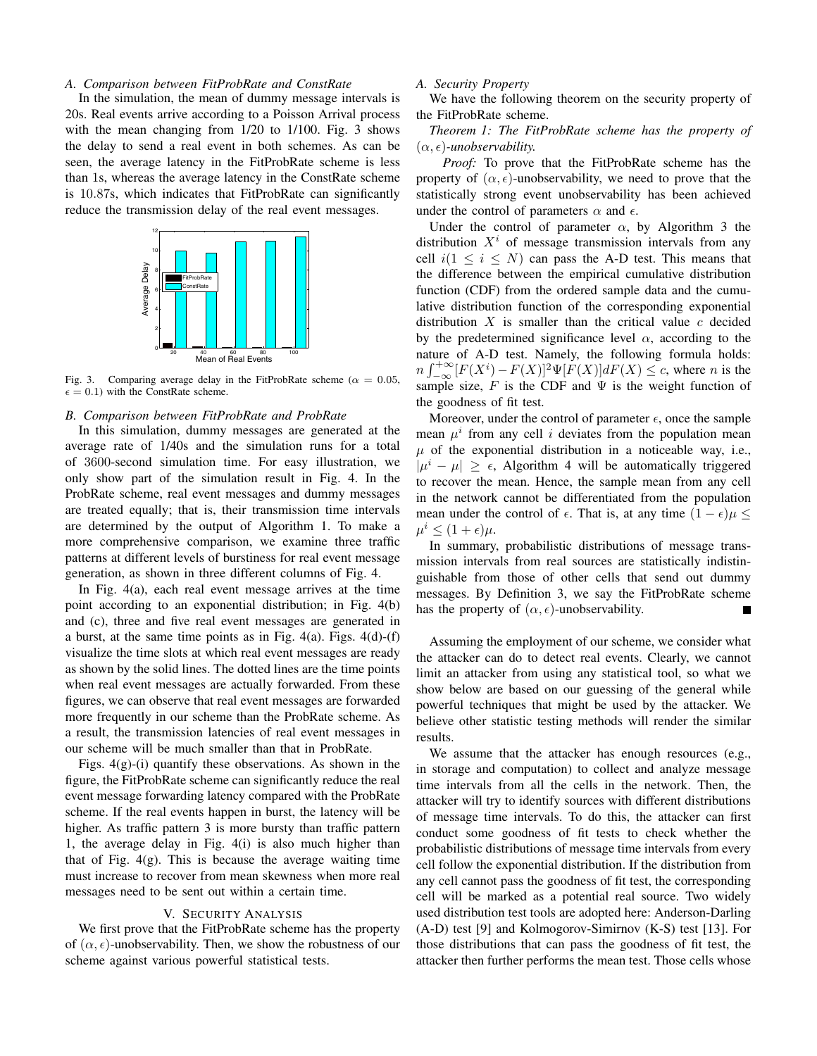#### *A. Comparison between FitProbRate and ConstRate*

In the simulation, the mean of dummy message intervals is 20s. Real events arrive according to a Poisson Arrival process with the mean changing from  $1/20$  to  $1/100$ . Fig. 3 shows the delay to send a real event in both schemes. As can be seen, the average latency in the FitProbRate scheme is less than 1s, whereas the average latency in the ConstRate scheme is 10.87s, which indicates that FitProbRate can significantly reduce the transmission delay of the real event messages.



Fig. 3. Comparing average delay in the FitProbRate scheme ( $\alpha = 0.05$ ,  $\epsilon = 0.1$ ) with the ConstRate scheme.

# *B. Comparison between FitProbRate and ProbRate*

In this simulation, dummy messages are generated at the average rate of 1/40s and the simulation runs for a total of 3600-second simulation time. For easy illustration, we only show part of the simulation result in Fig. 4. In the ProbRate scheme, real event messages and dummy messages are treated equally; that is, their transmission time intervals are determined by the output of Algorithm 1. To make a more comprehensive comparison, we examine three traffic patterns at different levels of burstiness for real event message generation, as shown in three different columns of Fig. 4.

In Fig. 4(a), each real event message arrives at the time point according to an exponential distribution; in Fig. 4(b) and (c), three and five real event messages are generated in a burst, at the same time points as in Fig.  $4(a)$ . Figs.  $4(d)-(f)$ visualize the time slots at which real event messages are ready as shown by the solid lines. The dotted lines are the time points when real event messages are actually forwarded. From these figures, we can observe that real event messages are forwarded more frequently in our scheme than the ProbRate scheme. As a result, the transmission latencies of real event messages in our scheme will be much smaller than that in ProbRate.

Figs. 4(g)-(i) quantify these observations. As shown in the figure, the FitProbRate scheme can significantly reduce the real event message forwarding latency compared with the ProbRate scheme. If the real events happen in burst, the latency will be higher. As traffic pattern 3 is more bursty than traffic pattern 1, the average delay in Fig. 4(i) is also much higher than that of Fig. 4(g). This is because the average waiting time must increase to recover from mean skewness when more real messages need to be sent out within a certain time.

# V. SECURITY ANALYSIS

We first prove that the FitProbRate scheme has the property of  $(\alpha, \epsilon)$ -unobservability. Then, we show the robustness of our scheme against various powerful statistical tests.

#### *A. Security Property*

We have the following theorem on the security property of the FitProbRate scheme.

*Theorem 1: The FitProbRate scheme has the property of*  $(\alpha, \epsilon)$ *-unobservability.* 

*Proof:* To prove that the FitProbRate scheme has the property of  $(\alpha, \epsilon)$ -unobservability, we need to prove that the statistically strong event unobservability has been achieved under the control of parameters  $\alpha$  and  $\epsilon$ .

Under the control of parameter  $\alpha$ , by Algorithm 3 the distribution  $X<sup>i</sup>$  of message transmission intervals from any cell  $i(1 \le i \le N)$  can pass the A-D test. This means that the difference between the empirical cumulative distribution function (CDF) from the ordered sample data and the cumulative distribution function of the corresponding exponential distribution  $X$  is smaller than the critical value  $c$  decided by the predetermined significance level  $\alpha$ , according to the nature of A-D test. Namely, the following formula holds:  $m \int_{-\infty}^{+\infty} [F(X^i) - F(X)]^2 \Psi[F(X)] dF(X) \leq c$ , where *n* is the sample size. *F* is the CDE and *V* is the weight function of sample size, F is the CDF and  $\Psi$  is the weight function of the goodness of fit test the goodness of fit test.

Moreover, under the control of parameter  $\epsilon$ , once the sample mean  $\mu^{i}$  from any cell i deviates from the population mean  $\mu$  of the exponential distribution in a noticeable way, i.e.,  $|\mu^{i} - \mu| \geq \epsilon$ , Algorithm 4 will be automatically triggered to recover the mean. Hence, the sample mean from any cell in the network cannot be differentiated from the population mean under the control of  $\epsilon$ . That is, at any time  $(1 - \epsilon)\mu \leq$  $\mu^{i} < (1 + \epsilon)\mu$ .

In summary, probabilistic distributions of message transmission intervals from real sources are statistically indistinguishable from those of other cells that send out dummy messages. By Definition 3, we say the FitProbRate scheme has the property of  $(\alpha, \epsilon)$ -unobservability.

Assuming the employment of our scheme, we consider what the attacker can do to detect real events. Clearly, we cannot limit an attacker from using any statistical tool, so what we show below are based on our guessing of the general while powerful techniques that might be used by the attacker. We believe other statistic testing methods will render the similar results.

We assume that the attacker has enough resources (e.g., in storage and computation) to collect and analyze message time intervals from all the cells in the network. Then, the attacker will try to identify sources with different distributions of message time intervals. To do this, the attacker can first conduct some goodness of fit tests to check whether the probabilistic distributions of message time intervals from every cell follow the exponential distribution. If the distribution from any cell cannot pass the goodness of fit test, the corresponding cell will be marked as a potential real source. Two widely used distribution test tools are adopted here: Anderson-Darling (A-D) test [9] and Kolmogorov-Simirnov (K-S) test [13]. For those distributions that can pass the goodness of fit test, the attacker then further performs the mean test. Those cells whose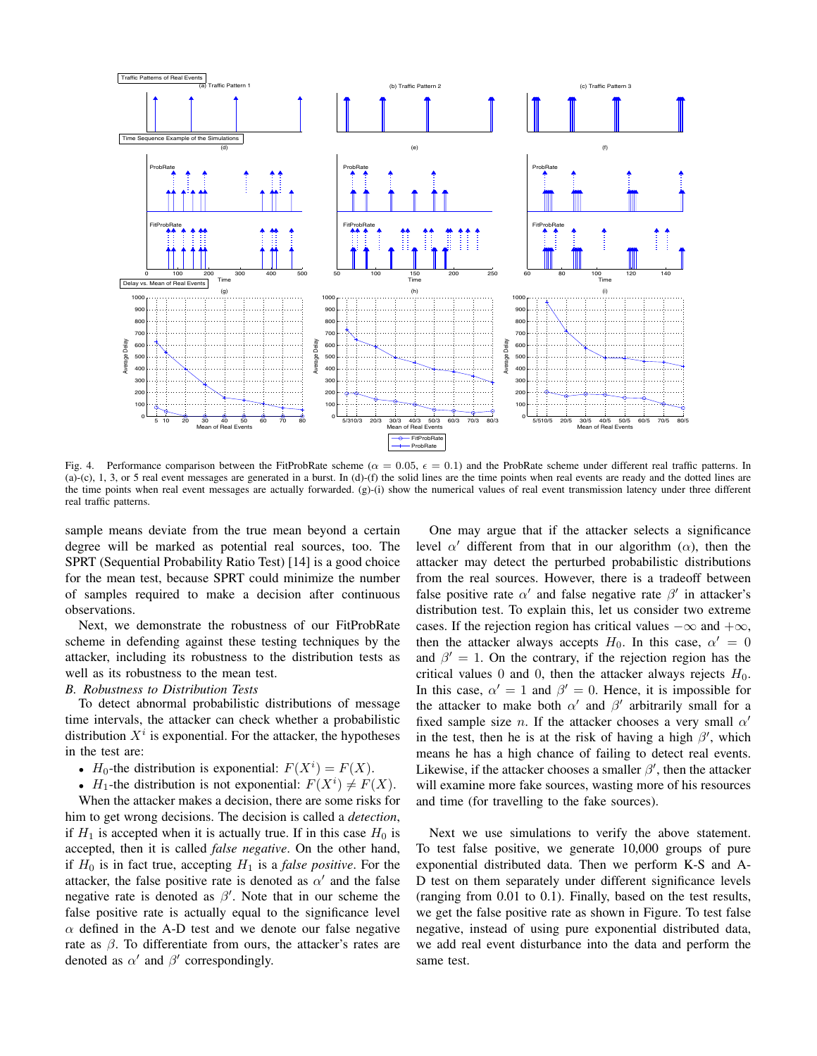

Fig. 4. Performance comparison between the FitProbRate scheme ( $\alpha = 0.05$ ,  $\epsilon = 0.1$ ) and the ProbRate scheme under different real traffic patterns. In  $(a)-(c)$ , 1, 3, or 5 real event messages are generated in a burst. In  $(d)-(f)$  the solid lines are the time points when real events are ready and the dotted lines are the time points when real event messages are actually forwarded. (g)-(i) show the numerical values of real event transmission latency under three different real traffic patterns.

sample means deviate from the true mean beyond a certain degree will be marked as potential real sources, too. The SPRT (Sequential Probability Ratio Test) [14] is a good choice for the mean test, because SPRT could minimize the number of samples required to make a decision after continuous observations.

Next, we demonstrate the robustness of our FitProbRate scheme in defending against these testing techniques by the attacker, including its robustness to the distribution tests as well as its robustness to the mean test.

# *B. Robustness to Distribution Tests*

To detect abnormal probabilistic distributions of message time intervals, the attacker can check whether a probabilistic distribution  $X<sup>i</sup>$  is exponential. For the attacker, the hypotheses in the test are:

- $H_0$ -the distribution is exponential:  $F(X^i) = F(X)$ .<br>
  $H_0$ -the distribution is not exponential:  $F(X^i) \neq F(X)$
- $H_1$ -the distribution is not exponential:  $F(X^i) \neq F(X)$ .<br>When the attacker makes a decision, there are some ricks for

When the attacker makes a decision, there are some risks for him to get wrong decisions. The decision is called a *detection*, if  $H_1$  is accepted when it is actually true. If in this case  $H_0$  is accepted, then it is called *false negative*. On the other hand, if  $H_0$  is in fact true, accepting  $H_1$  is a *false positive*. For the attacker, the false positive rate is denoted as  $\alpha'$  and the false negative rate is denoted as  $\beta'$ . Note that in our scheme the false positive rate is actually equal to the significance level  $\alpha$  defined in the A-D test and we denote our false negative rate as  $\beta$ . To differentiate from ours, the attacker's rates are denoted as  $\alpha'$  and  $\beta'$  correspondingly.

One may argue that if the attacker selects a significance level  $\alpha'$  different from that in our algorithm ( $\alpha$ ), then the attacker may detect the perturbed probabilistic distributions from the real sources. However, there is a tradeoff between false positive rate  $\alpha'$  and false negative rate  $\beta'$  in attacker's distribution test. To explain this, let us consider two extreme cases. If the rejection region has critical values  $-\infty$  and  $+\infty$ , then the attacker always accepts  $H_0$ . In this case,  $\alpha'$ and  $\beta' = 1$ . On the contrary, if the rejection region has the critical values 0 and 0, then the attacker always rejects  $H_0$ . critical values 0 and 0, then the attacker always rejects  $H_0$ . In this case,  $\alpha' = 1$  and  $\beta' = 0$ . Hence, it is impossible for the attacker to make both  $\alpha'$  and  $\beta'$  arbitrarily small for a the attacker to make both  $\alpha'$  and  $\beta'$  arbitrarily small for a fixed sample size *n*. If the attacker chooses a very small  $\alpha'$ in the test, then he is at the risk of having a high  $\beta'$ , which means he has a high chance of failing to detect real events. Likewise, if the attacker chooses a smaller  $\beta'$ , then the attacker will examine more fake sources, wasting more of his resources and time (for travelling to the fake sources).

Next we use simulations to verify the above statement. To test false positive, we generate 10,000 groups of pure exponential distributed data. Then we perform K-S and A-D test on them separately under different significance levels (ranging from 0.01 to 0.1). Finally, based on the test results, we get the false positive rate as shown in Figure. To test false negative, instead of using pure exponential distributed data, we add real event disturbance into the data and perform the same test.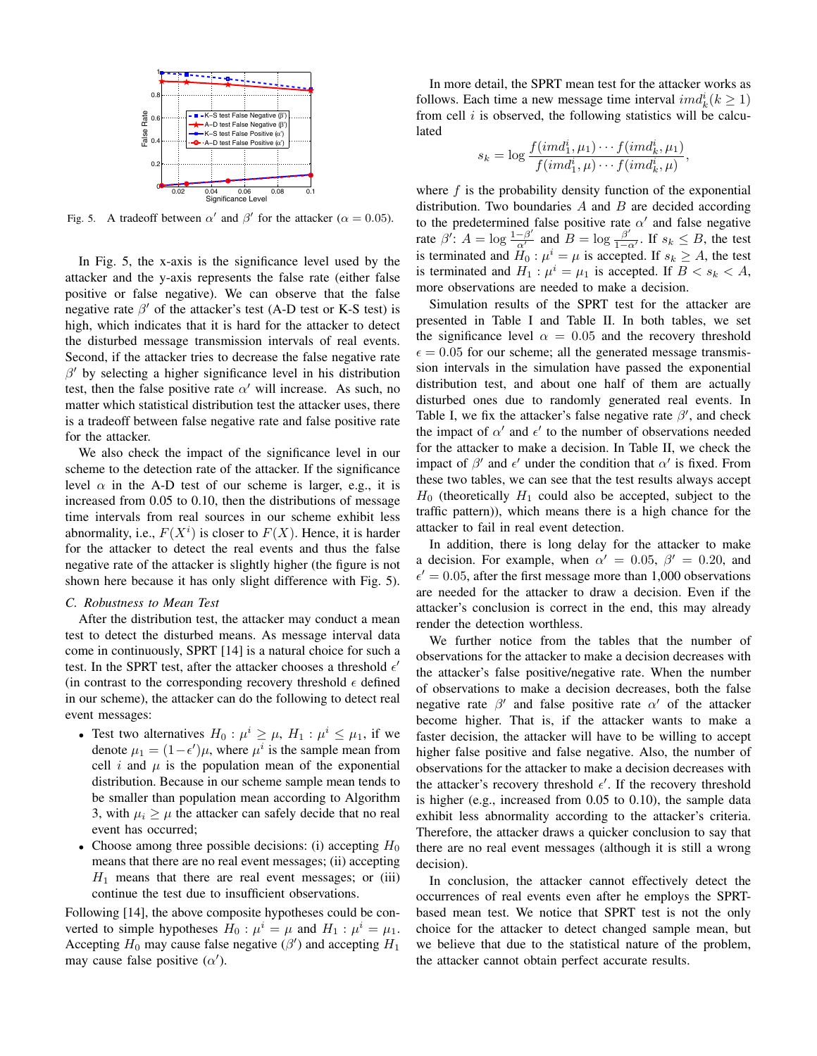

Fig. 5. A tradeoff between  $\alpha'$  and  $\beta'$  for the attacker ( $\alpha = 0.05$ ).

In Fig. 5, the x-axis is the significance level used by the attacker and the y-axis represents the false rate (either false positive or false negative). We can observe that the false negative rate  $\beta'$  of the attacker's test (A-D test or K-S test) is high, which indicates that it is hard for the attacker to detect the disturbed message transmission intervals of real events. Second, if the attacker tries to decrease the false negative rate  $\beta'$  by selecting a higher significance level in his distribution test, then the false positive rate  $\alpha'$  will increase. As such, no matter which statistical distribution test the attacker uses, there is a tradeoff between false negative rate and false positive rate for the attacker.

We also check the impact of the significance level in our scheme to the detection rate of the attacker. If the significance level  $\alpha$  in the A-D test of our scheme is larger, e.g., it is increased from 0.05 to 0.10, then the distributions of message time intervals from real sources in our scheme exhibit less abnormality, i.e.,  $F(X<sup>i</sup>)$  is closer to  $F(X)$ . Hence, it is harder<br>for the attacker to detect the real events and thus the false for the attacker to detect the real events and thus the false negative rate of the attacker is slightly higher (the figure is not shown here because it has only slight difference with Fig. 5).

#### *C. Robustness to Mean Test*

After the distribution test, the attacker may conduct a mean test to detect the disturbed means. As message interval data come in continuously, SPRT [14] is a natural choice for such a test. In the SPRT test, after the attacker chooses a threshold  $\epsilon'$ (in contrast to the corresponding recovery threshold  $\epsilon$  defined in our scheme), the attacker can do the following to detect real event messages:

- Test two alternatives  $H_0: \mu^i \geq \mu$ ,  $H_1: \mu^i \leq \mu_1$ , if we denote  $\mu_1 = (1 - \epsilon')\mu$ , where  $\mu^i$  is the sample mean from<br>cell *i* and *u* is the population mean of the exponential cell i and  $\mu$  is the population mean of the exponential distribution. Because in our scheme sample mean tends to be smaller than population mean according to Algorithm 3, with  $\mu_i \geq \mu$  the attacker can safely decide that no real event has occurred;
- Choose among three possible decisions: (i) accepting  $H_0$ means that there are no real event messages; (ii) accepting  $H_1$  means that there are real event messages; or (iii) continue the test due to insufficient observations.

Following [14], the above composite hypotheses could be converted to simple hypotheses  $H_0$ :  $\mu^i = \mu$  and  $H_1$ :  $\mu^i = \mu_1$ . Accepting  $H_0$  may cause false negative  $(\beta')$  and accepting  $H_1$ may cause false positive  $(\alpha')$ .

In more detail, the SPRT mean test for the attacker works as follows. Each time a new message time interval  $im d_k^i (k \ge 1)$ <br>from cell *i* is observed, the following statistics will be calcufrom cell  $i$  is observed, the following statistics will be calculated

$$
s_k = \log \frac{f(imd_1^i, \mu_1) \cdots f(imd_k^i, \mu_1)}{f(imd_1^i, \mu) \cdots f(imd_k^i, \mu)},
$$

where  $f$  is the probability density function of the exponential distribution. Two boundaries  $A$  and  $B$  are decided according to the predetermined false positive rate  $\alpha'$  and false negative rate  $\beta'$ :  $A = \log \frac{1-\beta'}{\alpha'}$  and  $B = \log \frac{\beta'}{1-\alpha'}$ . If  $s_k \leq B$ , the test is terminated and  $H_{\alpha}$ :  $\mu^i = \mu$  is accorded If  $c_i > A$ , the test is terminated and  $H_0$ :  $\mu^i = \mu$  is accepted. If  $s_k \geq A$ , the test is terminated and  $H_1$ :  $\mu^i = \mu_1$  is accepted. If  $B < s_k < A$ , more observations are needed to make a decision.

Simulation results of the SPRT test for the attacker are presented in Table I and Table II. In both tables, we set the significance level  $\alpha = 0.05$  and the recovery threshold  $\epsilon = 0.05$  for our scheme; all the generated message transmission intervals in the simulation have passed the exponential distribution test, and about one half of them are actually disturbed ones due to randomly generated real events. In Table I, we fix the attacker's false negative rate  $\beta'$ , and check the impact of  $\alpha'$  and  $\epsilon'$  to the number of observations needed for the attacker to make a decision. In Table II, we check the impact of  $\beta'$  and  $\epsilon'$  under the condition that  $\alpha'$  is fixed. From these two tables, we can see that the test results always accept  $H_0$  (theoretically  $H_1$  could also be accepted, subject to the traffic pattern)), which means there is a high chance for the attacker to fail in real event detection.

In addition, there is long delay for the attacker to make a decision. For example, when  $\alpha' = 0.05$ ,  $\beta' = 0.20$ , and  $\epsilon' = 0.05$  after the first message more than 1,000 observations  $\epsilon' = 0.05$ , after the first message more than 1,000 observations<br>are needed for the attacker to draw a decision. Even if the are needed for the attacker to draw a decision. Even if the attacker's conclusion is correct in the end, this may already render the detection worthless.

We further notice from the tables that the number of observations for the attacker to make a decision decreases with the attacker's false positive/negative rate. When the number of observations to make a decision decreases, both the false negative rate  $\beta'$  and false positive rate  $\alpha'$  of the attacker become higher. That is, if the attacker wants to make a faster decision, the attacker will have to be willing to accept higher false positive and false negative. Also, the number of observations for the attacker to make a decision decreases with the attacker's recovery threshold  $\epsilon'$ . If the recovery threshold is higher (e.g., increased from 0.05 to 0.10), the sample data exhibit less abnormality according to the attacker's criteria. Therefore, the attacker draws a quicker conclusion to say that there are no real event messages (although it is still a wrong decision).

In conclusion, the attacker cannot effectively detect the occurrences of real events even after he employs the SPRTbased mean test. We notice that SPRT test is not the only choice for the attacker to detect changed sample mean, but we believe that due to the statistical nature of the problem, the attacker cannot obtain perfect accurate results.